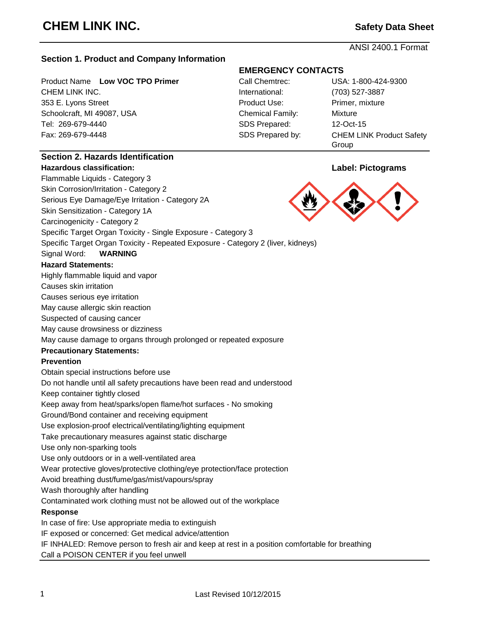ANSI 2400.1 Format

# **Section 1. Product and Company Information**

Product Name Low VOC TPO Primer CHEM LINK INC. 353 E. Lyons Street Schoolcraft, MI 49087, USA Tel: 269-679-4440 Fax: 269-679-4448

# **EMERGENCY CONTACTS**

| Call Chemtrec:          | USA: 1-800-424-9300             |
|-------------------------|---------------------------------|
| International:          | (703) 527-3887                  |
| Product Use:            | Primer, mixture                 |
| <b>Chemical Family:</b> | Mixture                         |
| SDS Prepared:           | 12-Oct-15                       |
| SDS Prepared by:        | <b>CHEM LINK Product Safety</b> |
|                         | Group                           |

# **Section 2. Hazards Identification**

#### **Hazardous classification: Label: Pictograms**

Flammable Liquids - Category 3 Skin Corrosion/Irritation - Category 2

Serious Eye Damage/Eye Irritation - Category 2A

Skin Sensitization - Category 1A

Carcinogenicity - Category 2

Specific Target Organ Toxicity - Single Exposure - Category 3

Specific Target Organ Toxicity - Repeated Exposure - Category 2 (liver, kidneys)

Signal Word: **WARNING**

#### **Hazard Statements:**

Highly flammable liquid and vapor

Causes skin irritation

Causes serious eye irritation

May cause allergic skin reaction

Suspected of causing cancer

May cause drowsiness or dizziness

May cause damage to organs through prolonged or repeated exposure

#### **Precautionary Statements:**

#### **Prevention**

Obtain special instructions before use

Do not handle until all safety precautions have been read and understood

Keep container tightly closed

Keep away from heat/sparks/open flame/hot surfaces - No smoking

Ground/Bond container and receiving equipment

Use explosion-proof electrical/ventilating/lighting equipment

Take precautionary measures against static discharge

Use only non-sparking tools

Use only outdoors or in a well-ventilated area

Wear protective gloves/protective clothing/eye protection/face protection

Avoid breathing dust/fume/gas/mist/vapours/spray

Wash thoroughly after handling

Contaminated work clothing must not be allowed out of the workplace

#### **Response**

In case of fire: Use appropriate media to extinguish

IF exposed or concerned: Get medical advice/attention

IF INHALED: Remove person to fresh air and keep at rest in a position comfortable for breathing

Call a POISON CENTER if you feel unwell

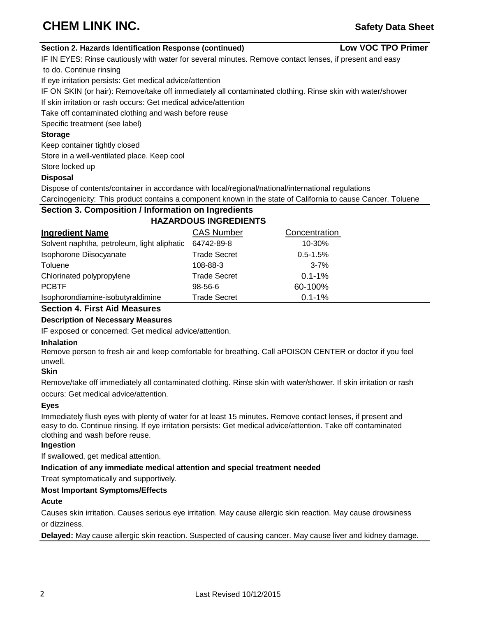# **CHEM LINK INC.** *Safety Data Sheet*

**Low VOC TPO Primer**

#### **Section 2. Hazards Identification Response (continued)**

IF IN EYES: Rinse cautiously with water for several minutes. Remove contact lenses, if present and easy to do. Continue rinsing

If eye irritation persists: Get medical advice/attention

IF ON SKIN (or hair): Remove/take off immediately all contaminated clothing. Rinse skin with water/shower

If skin irritation or rash occurs: Get medical advice/attention

Take off contaminated clothing and wash before reuse

Specific treatment (see label)

#### **Storage**

Keep container tightly closed

Store in a well-ventilated place. Keep cool

#### Store locked up

# **Disposal**

Dispose of contents/container in accordance with local/regional/national/international regulations

Carcinogenicity: This product contains a component known in the state of California to cause Cancer. Toluene

#### **Section 3. Composition / Information on Ingredients HAZARDOUS INGREDIENTS**

| <b>Ingredient Name</b>                      | <b>CAS Number</b>   | Concentration |
|---------------------------------------------|---------------------|---------------|
| Solvent naphtha, petroleum, light aliphatic | 64742-89-8          | $10 - 30%$    |
| Isophorone Diisocyanate                     | <b>Trade Secret</b> | $0.5 - 1.5%$  |
| Toluene                                     | 108-88-3            | $3 - 7%$      |
| Chlorinated polypropylene                   | <b>Trade Secret</b> | $0.1 - 1%$    |
| <b>PCBTF</b>                                | $98 - 56 - 6$       | 60-100%       |
| Isophorondiamine-isobutyraldimine           | <b>Trade Secret</b> | $0.1 - 1%$    |

# **Section 4. First Aid Measures**

# **Description of Necessary Measures**

IF exposed or concerned: Get medical advice/attention.

# **Inhalation**

Remove person to fresh air and keep comfortable for breathing. Call aPOISON CENTER or doctor if you feel unwell.

# **Skin**

Remove/take off immediately all contaminated clothing. Rinse skin with water/shower. If skin irritation or rash occurs: Get medical advice/attention.

# **Eyes**

Immediately flush eyes with plenty of water for at least 15 minutes. Remove contact lenses, if present and easy to do. Continue rinsing. If eye irritation persists: Get medical advice/attention. Take off contaminated clothing and wash before reuse.

# **Ingestion**

If swallowed, get medical attention.

# **Indication of any immediate medical attention and special treatment needed**

Treat symptomatically and supportively.

# **Most Important Symptoms/Effects**

# **Acute**

Causes skin irritation. Causes serious eye irritation. May cause allergic skin reaction. May cause drowsiness or dizziness.

**Delayed:** May cause allergic skin reaction. Suspected of causing cancer. May cause liver and kidney damage.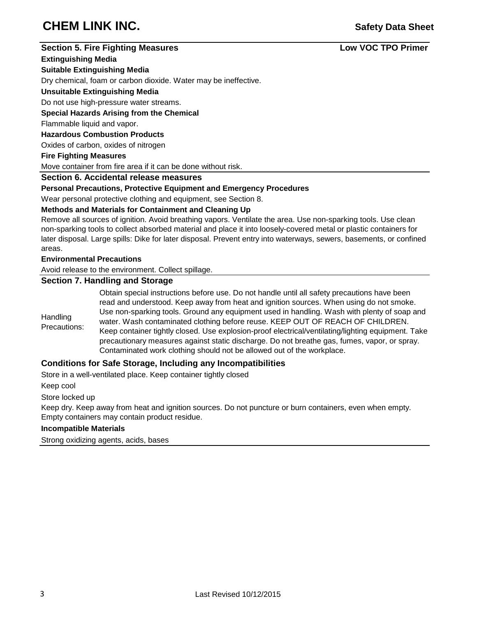# **CHEM LINK INC.** *CHEM LINK INC.*

# **Section 5. Fire Fighting Measures Low VOC TPO Primer**

#### **Extinguishing Media**

**Suitable Extinguishing Media**

Dry chemical, foam or carbon dioxide. Water may be ineffective.

#### **Unsuitable Extinguishing Media**

# Do not use high-pressure water streams.

**Special Hazards Arising from the Chemical**

Flammable liquid and vapor.

#### **Hazardous Combustion Products**

Oxides of carbon, oxides of nitrogen

#### **Fire Fighting Measures**

Move container from fire area if it can be done without risk.

# **Section 6. Accidental release measures**

# **Personal Precautions, Protective Equipment and Emergency Procedures**

Wear personal protective clothing and equipment, see Section 8.

# **Methods and Materials for Containment and Cleaning Up**

Remove all sources of ignition. Avoid breathing vapors. Ventilate the area. Use non-sparking tools. Use clean non-sparking tools to collect absorbed material and place it into loosely-covered metal or plastic containers for later disposal. Large spills: Dike for later disposal. Prevent entry into waterways, sewers, basements, or confined areas.

# **Environmental Precautions**

Avoid release to the environment. Collect spillage.

# **Section 7. Handling and Storage**

|                          | Obtain special instructions before use. Do not handle until all safety precautions have been       |
|--------------------------|----------------------------------------------------------------------------------------------------|
|                          | read and understood. Keep away from heat and ignition sources. When using do not smoke.            |
|                          | Use non-sparking tools. Ground any equipment used in handling. Wash with plenty of soap and        |
| Handling<br>Precautions: | water. Wash contaminated clothing before reuse. KEEP OUT OF REACH OF CHILDREN.                     |
|                          | Keep container tightly closed. Use explosion-proof electrical/ventilating/lighting equipment. Take |
|                          | precautionary measures against static discharge. Do not breathe gas, fumes, vapor, or spray.       |
|                          | Contaminated work clothing should not be allowed out of the workplace.                             |

# **Conditions for Safe Storage, Including any Incompatibilities**

Store in a well-ventilated place. Keep container tightly closed

Keep cool

Store locked up

Keep dry. Keep away from heat and ignition sources. Do not puncture or burn containers, even when empty. Empty containers may contain product residue.

# **Incompatible Materials**

Strong oxidizing agents, acids, bases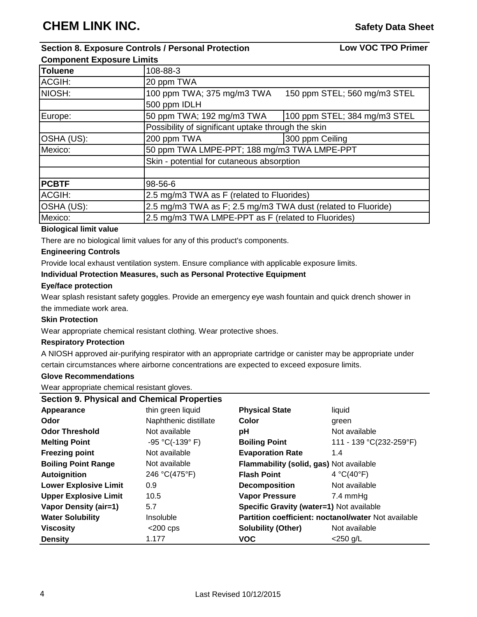**Low VOC TPO Primer**

# **Section 8. Exposure Controls / Personal Protection Component Exposure Limits**

**Toluene** 108-88-3 ACGIH: 20 ppm TWA NIOSH:  $\vert$ 100 ppm TWA; 375 mg/m3 TWA 150 ppm STEL; 560 mg/m3 STEL 500 ppm IDLH Europe:  $\vert$  50 ppm TWA; 192 mg/m3 TWA  $\vert$  100 ppm STEL; 384 mg/m3 STEL Possibility of significant uptake through the skin OSHA (US): 200 ppm TWA 300 ppm Ceiling Mexico:  $\vert$ 50 ppm TWA LMPE-PPT; 188 mg/m3 TWA LMPE-PPT Skin - potential for cutaneous absorption **PCBTF** 98-56-6 ACGIH:  $\vert$  2.5 mg/m3 TWA as F (related to Fluorides) OSHA (US): 2.5 mg/m3 TWA as F; 2.5 mg/m3 TWA dust (related to Fluoride) Mexico: 2.5 mg/m3 TWA LMPE-PPT as F (related to Fluorides)

# **Biological limit value**

There are no biological limit values for any of this product's components.

# **Engineering Controls**

Provide local exhaust ventilation system. Ensure compliance with applicable exposure limits.

# **Individual Protection Measures, such as Personal Protective Equipment**

# **Eye/face protection**

Wear splash resistant safety goggles. Provide an emergency eye wash fountain and quick drench shower in the immediate work area.

# **Skin Protection**

Wear appropriate chemical resistant clothing. Wear protective shoes.

# **Respiratory Protection**

A NIOSH approved air-purifying respirator with an appropriate cartridge or canister may be appropriate under certain circumstances where airborne concentrations are expected to exceed exposure limits.

# **Glove Recommendations**

Wear appropriate chemical resistant gloves.

| <b>Section 9. Physical and Chemical Properties</b> |                       |                                                     |                         |  |  |  |  |  |
|----------------------------------------------------|-----------------------|-----------------------------------------------------|-------------------------|--|--|--|--|--|
| Appearance                                         | thin green liquid     | <b>Physical State</b>                               | liquid                  |  |  |  |  |  |
| Odor                                               | Naphthenic distillate | Color                                               | green                   |  |  |  |  |  |
| <b>Odor Threshold</b>                              | Not available         | рH                                                  | Not available           |  |  |  |  |  |
| <b>Melting Point</b>                               | $-95 °C(-139 °F)$     | <b>Boiling Point</b>                                | 111 - 139 °C(232-259°F) |  |  |  |  |  |
| <b>Freezing point</b>                              | Not available         | <b>Evaporation Rate</b>                             | 1.4                     |  |  |  |  |  |
| <b>Boiling Point Range</b>                         | Not available         | Flammability (solid, gas) Not available             |                         |  |  |  |  |  |
| Autoignition                                       | 246 °C(475°F)         | <b>Flash Point</b>                                  | 4 °C(40°F)              |  |  |  |  |  |
| <b>Lower Explosive Limit</b>                       | 0.9                   | <b>Decomposition</b>                                | Not available           |  |  |  |  |  |
| <b>Upper Explosive Limit</b>                       | 10.5                  | <b>Vapor Pressure</b>                               | $7.4 \text{ mmHg}$      |  |  |  |  |  |
| <b>Vapor Density (air=1)</b>                       | 5.7                   | Specific Gravity (water=1) Not available            |                         |  |  |  |  |  |
| <b>Water Solubility</b>                            | <b>Insoluble</b>      | Partition coefficient: noctanol/water Not available |                         |  |  |  |  |  |
| <b>Viscosity</b>                                   | $<$ 200 cps           | <b>Solubility (Other)</b>                           | Not available           |  |  |  |  |  |
| <b>Density</b>                                     | 1.177                 | <b>VOC</b>                                          | $<$ 250 g/L             |  |  |  |  |  |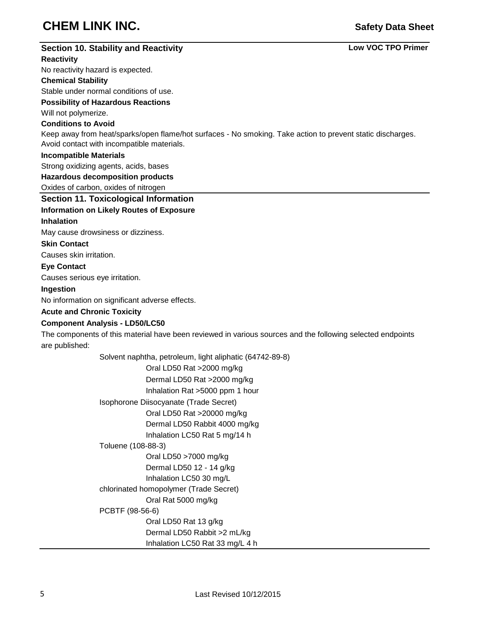# **CHEM LINK INC.** *CHEM LINK INC.*

# **Section 10. Stability and Reactivity Reactivity** No reactivity hazard is expected. **Chemical Stability** Stable under normal conditions of use. **Possibility of Hazardous Reactions** Will not polymerize. **Conditions to Avoid Incompatible Materials** Strong oxidizing agents, acids, bases **Hazardous decomposition products** Oxides of carbon, oxides of nitrogen **Section 11. Toxicological Information Information on Likely Routes of Exposure Inhalation** May cause drowsiness or dizziness. **Skin Contact** Causes skin irritation. **Eye Contact** Causes serious eye irritation. **Ingestion** No information on significant adverse effects. **Acute and Chronic Toxicity Component Analysis - LD50/LC50** The components of this material have been reviewed in various sources and the following selected endpoints are published: Solvent naphtha, petroleum, light aliphatic (64742-89-8) Oral LD50 Rat >2000 mg/kg Dermal LD50 Rat >2000 mg/kg Inhalation Rat >5000 ppm 1 hour Isophorone Diisocyanate (Trade Secret) Oral LD50 Rat >20000 mg/kg Dermal LD50 Rabbit 4000 mg/kg Inhalation LC50 Rat 5 mg/14 h Toluene (108-88-3) Oral LD50 >7000 mg/kg Dermal LD50 12 - 14 g/kg Inhalation LC50 30 mg/L chlorinated homopolymer (Trade Secret) Oral Rat 5000 mg/kg PCBTF (98-56-6) Oral LD50 Rat 13 g/kg Dermal LD50 Rabbit >2 mL/kg Inhalation LC50 Rat 33 mg/L 4 h **Low VOC TPO Primer** Keep away from heat/sparks/open flame/hot surfaces - No smoking. Take action to prevent static discharges. Avoid contact with incompatible materials.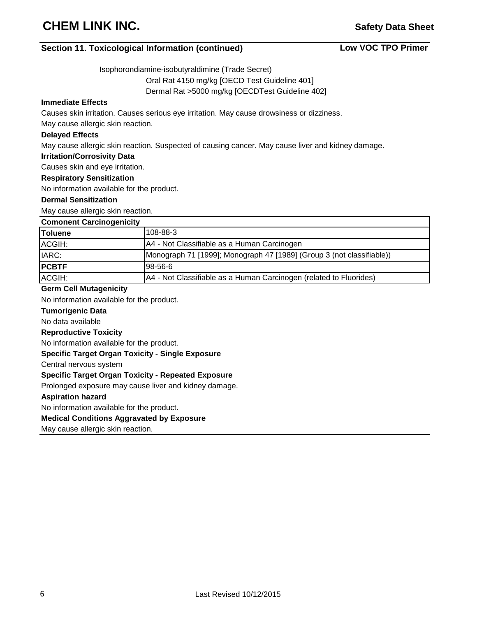# **Section 11. Toxicological Information (continued)**

**Low VOC TPO Primer**

Isophorondiamine-isobutyraldimine (Trade Secret)

Oral Rat 4150 mg/kg [OECD Test Guideline 401]

Dermal Rat >5000 mg/kg [OECDTest Guideline 402]

# **Immediate Effects**

Causes skin irritation. Causes serious eye irritation. May cause drowsiness or dizziness.

May cause allergic skin reaction.

#### **Delayed Effects**

May cause allergic skin reaction. Suspected of causing cancer. May cause liver and kidney damage.

#### **Irritation/Corrosivity Data**

Causes skin and eye irritation.

# **Respiratory Sensitization**

No information available for the product.

#### **Dermal Sensitization**

May cause allergic skin reaction.

| <b>Comonent Carcinogenicity</b> |   |
|---------------------------------|---|
|                                 | . |

| Toluene      | 108-88-3                                                              |
|--------------|-----------------------------------------------------------------------|
| ACGIH:       | A4 - Not Classifiable as a Human Carcinogen                           |
| IARC:        | Monograph 71 [1999]; Monograph 47 [1989] (Group 3 (not classifiable)) |
| <b>PCBTF</b> | 98-56-6                                                               |
| ACGIH:       | A4 - Not Classifiable as a Human Carcinogen (related to Fluorides)    |

#### **Germ Cell Mutagenicity**

No information available for the product.

#### **Tumorigenic Data**

No data available

#### **Reproductive Toxicity**

No information available for the product.

#### **Specific Target Organ Toxicity - Single Exposure**

Central nervous system

#### **Specific Target Organ Toxicity - Repeated Exposure**

Prolonged exposure may cause liver and kidney damage.

#### **Aspiration hazard**

No information available for the product.

#### **Medical Conditions Aggravated by Exposure**

May cause allergic skin reaction.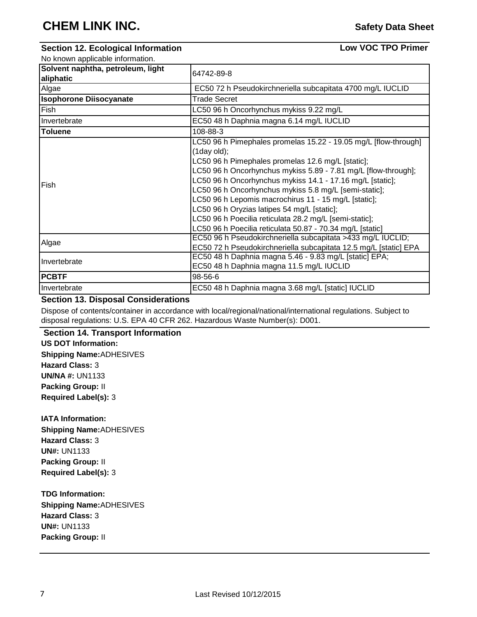# **Section 12. Ecological Information**

**Low VOC TPO Primer**

| No known applicable information.               |                                                                                                                                                                                                                                                                                                                                                                                                                                                                                                                                                              |
|------------------------------------------------|--------------------------------------------------------------------------------------------------------------------------------------------------------------------------------------------------------------------------------------------------------------------------------------------------------------------------------------------------------------------------------------------------------------------------------------------------------------------------------------------------------------------------------------------------------------|
| Solvent naphtha, petroleum, light<br>aliphatic | 64742-89-8                                                                                                                                                                                                                                                                                                                                                                                                                                                                                                                                                   |
| Algae                                          | EC50 72 h Pseudokirchneriella subcapitata 4700 mg/L IUCLID                                                                                                                                                                                                                                                                                                                                                                                                                                                                                                   |
| <b>Isophorone Diisocyanate</b>                 | <b>Trade Secret</b>                                                                                                                                                                                                                                                                                                                                                                                                                                                                                                                                          |
| Fish                                           | LC50 96 h Oncorhynchus mykiss 9.22 mg/L                                                                                                                                                                                                                                                                                                                                                                                                                                                                                                                      |
| Invertebrate                                   | EC50 48 h Daphnia magna 6.14 mg/L IUCLID                                                                                                                                                                                                                                                                                                                                                                                                                                                                                                                     |
| <b>Toluene</b>                                 | 108-88-3                                                                                                                                                                                                                                                                                                                                                                                                                                                                                                                                                     |
| Fish                                           | LC50 96 h Pimephales promelas 15.22 - 19.05 mg/L [flow-through]<br>$(1$ day old);<br>LC50 96 h Pimephales promelas 12.6 mg/L [static];<br>LC50 96 h Oncorhynchus mykiss 5.89 - 7.81 mg/L [flow-through];<br>LC50 96 h Oncorhynchus mykiss 14.1 - 17.16 mg/L [static];<br>LC50 96 h Oncorhynchus mykiss 5.8 mg/L [semi-static];<br>LC50 96 h Lepomis macrochirus 11 - 15 mg/L [static];<br>LC50 96 h Oryzias latipes 54 mg/L [static];<br>LC50 96 h Poecilia reticulata 28.2 mg/L [semi-static];<br>LC50 96 h Poecilia reticulata 50.87 - 70.34 mg/L [static] |
| Algae                                          | EC50 96 h Pseudokirchneriella subcapitata >433 mg/L IUCLID;<br>EC50 72 h Pseudokirchneriella subcapitata 12.5 mg/L [static] EPA                                                                                                                                                                                                                                                                                                                                                                                                                              |
| Invertebrate                                   | EC50 48 h Daphnia magna 5.46 - 9.83 mg/L [static] EPA;<br>EC50 48 h Daphnia magna 11.5 mg/L IUCLID                                                                                                                                                                                                                                                                                                                                                                                                                                                           |
| <b>PCBTF</b>                                   | 98-56-6                                                                                                                                                                                                                                                                                                                                                                                                                                                                                                                                                      |
| Invertebrate                                   | EC50 48 h Daphnia magna 3.68 mg/L [static] IUCLID                                                                                                                                                                                                                                                                                                                                                                                                                                                                                                            |

# **Section 13. Disposal Considerations**

Dispose of contents/container in accordance with local/regional/national/international regulations. Subject to disposal regulations: U.S. EPA 40 CFR 262. Hazardous Waste Number(s): D001.

#### **Section 14. Transport Information US DOT Information:**

**Shipping Name:**ADHESIVES **Hazard Class:** 3 **UN/NA #:** UN1133 **Packing Group:** II **Required Label(s):** 3

**IATA Information: Shipping Name:**ADHESIVES **Hazard Class:** 3 **UN#:** UN1133 **Packing Group:** II **Required Label(s):** 3

**TDG Information: Shipping Name:**ADHESIVES **Hazard Class:** 3 **UN#:** UN1133 **Packing Group:** II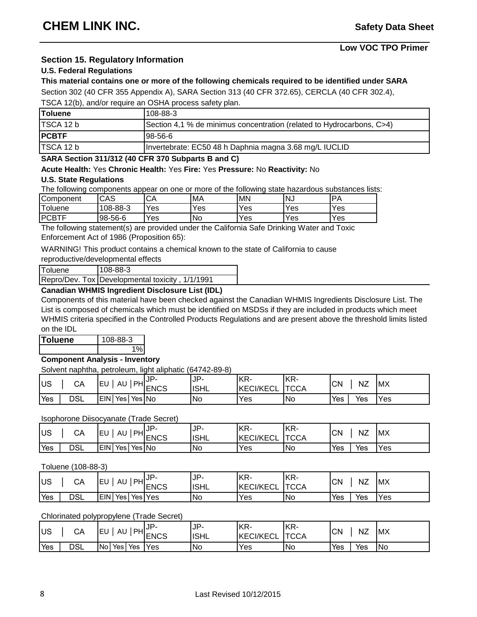# **Section 15. Regulatory Information**

#### **U.S. Federal Regulations**

#### **This material contains one or more of the following chemicals required to be identified under SARA**

Section 302 (40 CFR 355 Appendix A), SARA Section 313 (40 CFR 372.65), CERCLA (40 CFR 302.4),

TSCA 12(b), and/or require an OSHA process safety plan.

| <b>Toluene</b> | $108 - 88 - 3$                                                        |
|----------------|-----------------------------------------------------------------------|
| TSCA 12 b      | Section 4.1 % de minimus concentration (related to Hydrocarbons, C>4) |
| <b>PCBTF</b>   | 198-56-6                                                              |
| TSCA 12 b      | Invertebrate: EC50 48 h Daphnia magna 3.68 mg/L IUCLID                |

#### **SARA Section 311/312 (40 CFR 370 Subparts B and C)**

#### **Acute Health:** Yes **Chronic Health:** Yes **Fire:** Yes **Pressure:** No **Reactivity:** No

#### **U.S. State Regulations**

The following components appear on one or more of the following state hazardous substances lists:

| ∽<br>Component                     | $\sim$ ^ $\sim$<br>UAJ | rΛ<br>◡◠          | <b>MA</b> | <b>MN</b> | NJ. | DΔ  |
|------------------------------------|------------------------|-------------------|-----------|-----------|-----|-----|
| $\overline{\phantom{a}}$<br>oluene | 08-88-3                | ∨es               | Yes       | Yes       | Yes | Yes |
| IDOR.<br>T<br>◡◻▮                  | 98-56-6                | $V_{\mathsf{e}s}$ | <b>No</b> | Yes       | Yes | Yes |

The following statement(s) are provided under the California Safe Drinking Water and Toxic Enforcement Act of 1986 (Proposition 65):

WARNING! This product contains a chemical known to the state of California to cause

reproductive/developmental effects

| Toluene | $108 - 88 - 3$                                  |
|---------|-------------------------------------------------|
|         | Repro/Dev. Tox Developmental toxicity, 1/1/1991 |

# **Canadian WHMIS Ingredient Disclosure List (IDL)**

Components of this material have been checked against the Canadian WHMIS Ingredients Disclosure List. The List is composed of chemicals which must be identified on MSDSs if they are included in products which meet WHMIS criteria specified in the Controlled Products Regulations and are present above the threshold limits listed on the IDL

**Toluene** 108-88-3 1%

# **Component Analysis - Inventory**

Solvent naphtha, petroleum, light aliphatic (64742-89-8)

| lus | СA         | PН<br><b>IEL</b><br>AU          | IP.<br><b>ENCS</b> | JP-<br><b>ISHL</b> | IKR-<br><b>KECI/KECL</b> | KR-<br><b>TCCA</b> | <b>CN</b> | NZ  | <b>IMX</b> |
|-----|------------|---------------------------------|--------------------|--------------------|--------------------------|--------------------|-----------|-----|------------|
| Yes | <b>DSL</b> | <b>IEIN</b><br>'Yes  No<br>`Yes |                    | No                 | Yes                      | !No                | Yes       | Yes | Yes        |

#### Isophorone Diisocyanate (Trade Secret)

| <b>US</b> | CА  | <b>IEU</b><br>AU                | $_{\odot}$ $_{\rm{IPH}}$ JP-<br><b>ENCS</b> | IP-<br><b>ISHL</b> | <b>IKR-</b><br><b>KECI/KECL</b> | KR-<br><b>TCCA</b> | <b>CN</b> | <b>NZ</b> | <b>MX</b> |
|-----------|-----|---------------------------------|---------------------------------------------|--------------------|---------------------------------|--------------------|-----------|-----------|-----------|
| Yes       | DSL | `Yes  No<br><b>EIN</b><br>`Yes⊤ |                                             | <b>No</b>          | Yes                             | <b>INo</b>         | Yes       | Yes       | Yes       |

#### Toluene (108-88-3)

| <b>US</b> | СA  | PHI<br>.EU<br>AU    | ,JP-<br><b>ENCS</b> | .IP-<br><b>ISHL</b> | IKR-<br><b>KECI/KECL</b> | KR-<br><b>TCCA</b> | <b>CN</b> | NZ  | <b>IMX</b> |
|-----------|-----|---------------------|---------------------|---------------------|--------------------------|--------------------|-----------|-----|------------|
| Yes       | DSL | <b>EIN</b><br>`Yes⊺ | `Yes  Yes ∶         | No                  | Yes                      | 'No                | Yes       | Yes | Yes        |

# Chlorinated polypropylene (Trade Secret)

| <b>US</b> | СA  | JIPHUP-<br>'EL<br>AU              | <b>IENCS</b> | JP-<br><b>ISHL</b> | KR-<br><b>KECI/KECL</b> | KR-<br><b>TCCA</b> | CΝ  | NZ  | <b>IMX</b> |
|-----------|-----|-----------------------------------|--------------|--------------------|-------------------------|--------------------|-----|-----|------------|
| Yes       | DSL | 'No<br>`Yes :<br>Yes <sub>1</sub> | <b>Yes</b>   | <b>No</b>          | Yes                     | <b>No</b>          | Yes | Yes | <b>INo</b> |